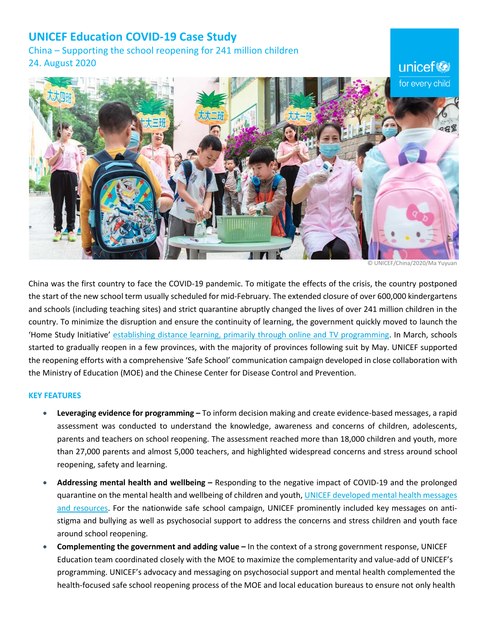## **UNICEF Education COVID-19 Case Study**

China – Supporting the school reopening for 241 million children 24. August 2020



© UNICEF/China/2020/Ma Yuyuan

China was the first country to face the COVID-19 pandemic. To mitigate the effects of the crisis, the country postponed the start of the new school term usually scheduled for mid-February. The extended closure of over 600,000 kindergartens and schools (including teaching sites) and strict quarantine abruptly changed the lives of over 241 million children in the country. To minimize the disruption and ensure the continuity of learning, the government quickly moved to launch the 'Home Study Initiative' establishing distance [learning, primarily through online and TV programming.](https://aa9276f9-f487-45a2-a3e7-8f4a61a0745d.usrfiles.com/ugd/aa9276_0ec4d8cbe2ca4b24914b43bf1c7d6731.pdf) In March, schools started to gradually reopen in a few provinces, with the majority of provinces following suit by May. UNICEF supported the reopening efforts with a comprehensive 'Safe School' communication campaign developed in close collaboration with the Ministry of Education (MOE) and the Chinese Center for Disease Control and Prevention.

## **KEY FEATURES**

- **Leveraging evidence for programming –** To inform decision making and create evidence-based messages, a rapid assessment was conducted to understand the knowledge, awareness and concerns of children, adolescents, parents and teachers on school reopening. The assessment reached more than 18,000 children and youth, more than 27,000 parents and almost 5,000 teachers, and highlighted widespread concerns and stress around school reopening, safety and learning.
- **Addressing mental health and wellbeing –** Responding to the negative impact of COVID-19 and the prolonged quarantine on the mental health and wellbeing of children and youth, [UNICEF developed mental health messages](https://www.unicef.cn/en/covid-19)  [and resources.](https://www.unicef.cn/en/covid-19) For the nationwide safe school campaign, UNICEF prominently included key messages on antistigma and bullying as well as psychosocial support to address the concerns and stress children and youth face around school reopening.
- **Complementing the government and adding value –** In the context of a strong government response, UNICEF Education team coordinated closely with the MOE to maximize the complementarity and value-add of UNICEF's programming. UNICEF's advocacy and messaging on psychosocial support and mental health complemented the health-focused safe school reopening process of the MOE and local education bureaus to ensure not only health